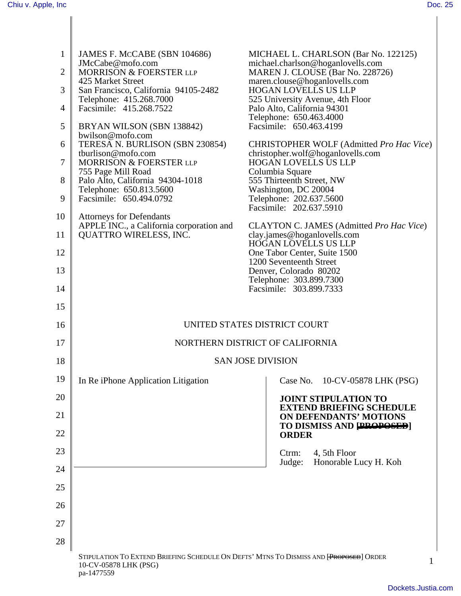| $\mathbf{1}$   | JAMES F. MCCABE (SBN 104686)<br>JMcCabe@mofo.com                                                                              | MICHAEL L. CHARLSON (Bar No. 122125)<br>michael.charlson@hoganlovells.com |
|----------------|-------------------------------------------------------------------------------------------------------------------------------|---------------------------------------------------------------------------|
| $\overline{2}$ | MORRISON & FOERSTER LLP<br>425 Market Street                                                                                  | MAREN J. CLOUSE (Bar No. 228726)<br>maren.clouse@hoganlovells.com         |
| 3              | San Francisco, California 94105-2482                                                                                          | <b>HOGAN LOVELLS US LLP</b>                                               |
| 4              | Telephone: 415.268.7000<br>Facsimile: 415.268.7522                                                                            | 525 University Avenue, 4th Floor<br>Palo Alto, California 94301           |
|                |                                                                                                                               | Telephone: 650.463.4000                                                   |
| 5              | BRYAN WILSON (SBN 138842)<br>bwilson@mofo.com                                                                                 | Facsimile: 650.463.4199                                                   |
| 6              | TERESA N. BURLISON (SBN 230854)                                                                                               | CHRISTOPHER WOLF (Admitted Pro Hac Vice)                                  |
| 7              | tburlison@mofo.com<br>MORRISON & FOERSTER LLP                                                                                 | christopher.wolf@hoganlovells.com<br><b>HOGAN LOVELLS US LLP</b>          |
|                | 755 Page Mill Road                                                                                                            | Columbia Square                                                           |
| 8              | Palo Alto, California 94304-1018                                                                                              | 555 Thirteenth Street, NW                                                 |
| 9              | Telephone: 650.813.5600<br>Facsimile: 650.494.0792                                                                            | Washington, DC 20004<br>Telephone: 202.637.5600                           |
|                |                                                                                                                               | Facsimile: 202.637.5910                                                   |
| 10             | <b>Attorneys for Defendants</b>                                                                                               |                                                                           |
| 11             | APPLE INC., a California corporation and<br><b>QUATTRO WIRELESS, INC.</b>                                                     | CLAYTON C. JAMES (Admitted Pro Hac Vice)<br>clay.james@hoganlovells.com   |
|                |                                                                                                                               | <b>HOGAN LOVELLS US LLP</b>                                               |
| 12             |                                                                                                                               | One Tabor Center, Suite 1500                                              |
| 13             |                                                                                                                               | 1200 Seventeenth Street<br>Denver, Colorado 80202                         |
|                |                                                                                                                               | Telephone: 303.899.7300                                                   |
| 14             |                                                                                                                               | Facsimile: 303.899.7333                                                   |
| 15             |                                                                                                                               |                                                                           |
| 16             |                                                                                                                               | UNITED STATES DISTRICT COURT                                              |
| 17             |                                                                                                                               | NORTHERN DISTRICT OF CALIFORNIA                                           |
| 18             |                                                                                                                               | <b>SAN JOSE DIVISION</b>                                                  |
| 19             | In Re iPhone Application Litigation                                                                                           | Case No. 10-CV-05878 LHK (PSG)                                            |
| 20             |                                                                                                                               | <b>JOINT STIPULATION TO</b><br><b>EXTEND BRIEFING SCHEDULE</b>            |
| 21             |                                                                                                                               | <b>ON DEFENDANTS' MOTIONS</b><br>TO DISMISS AND [PROPOSED]                |
| 22             |                                                                                                                               | <b>ORDER</b>                                                              |
| 23             |                                                                                                                               | 4, 5th Floor<br>Ctrm:                                                     |
| 24             |                                                                                                                               | Honorable Lucy H. Koh<br>Judge:                                           |
| 25             |                                                                                                                               |                                                                           |
| 26             |                                                                                                                               |                                                                           |
| 27             |                                                                                                                               |                                                                           |
| 28             |                                                                                                                               |                                                                           |
|                | STIPULATION TO EXTEND BRIEFING SCHEDULE ON DEFTS' MTNS TO DISMISS AND [PROPOSED] ORDER<br>10-CV-05878 LHK (PSG)<br>pa-1477559 | 1                                                                         |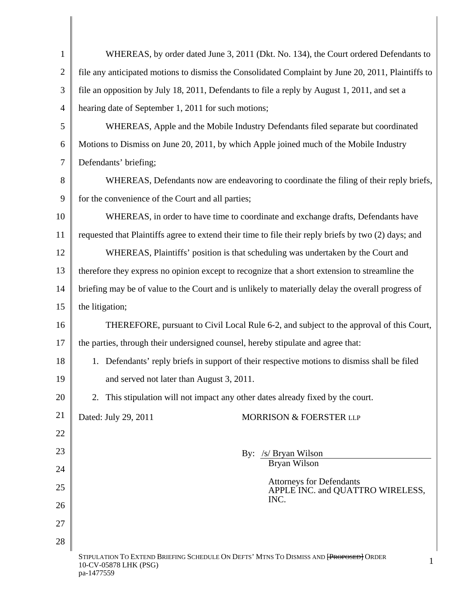| $\mathbf{1}$   | WHEREAS, by order dated June 3, 2011 (Dkt. No. 134), the Court ordered Defendants to                                 |  |
|----------------|----------------------------------------------------------------------------------------------------------------------|--|
| $\overline{2}$ | file any anticipated motions to dismiss the Consolidated Complaint by June 20, 2011, Plaintiffs to                   |  |
| 3              | file an opposition by July 18, 2011, Defendants to file a reply by August 1, 2011, and set a                         |  |
| $\overline{4}$ | hearing date of September 1, 2011 for such motions;                                                                  |  |
| 5              | WHEREAS, Apple and the Mobile Industry Defendants filed separate but coordinated                                     |  |
| 6              | Motions to Dismiss on June 20, 2011, by which Apple joined much of the Mobile Industry                               |  |
| 7              | Defendants' briefing;                                                                                                |  |
| 8              | WHEREAS, Defendants now are endeavoring to coordinate the filing of their reply briefs,                              |  |
| 9              | for the convenience of the Court and all parties;                                                                    |  |
| 10             | WHEREAS, in order to have time to coordinate and exchange drafts, Defendants have                                    |  |
| 11             | requested that Plaintiffs agree to extend their time to file their reply briefs by two (2) days; and                 |  |
| 12             | WHEREAS, Plaintiffs' position is that scheduling was undertaken by the Court and                                     |  |
| 13             | therefore they express no opinion except to recognize that a short extension to streamline the                       |  |
| 14             | briefing may be of value to the Court and is unlikely to materially delay the overall progress of                    |  |
| 15             | the litigation;                                                                                                      |  |
| 16             | THEREFORE, pursuant to Civil Local Rule 6-2, and subject to the approval of this Court,                              |  |
| 17             | the parties, through their undersigned counsel, hereby stipulate and agree that:                                     |  |
| 18             | Defendants' reply briefs in support of their respective motions to dismiss shall be filed<br>1.                      |  |
| 19             | and served not later than August 3, 2011.                                                                            |  |
| 20             | 2. This stipulation will not impact any other dates already fixed by the court.                                      |  |
| 21             | Dated: July 29, 2011<br>MORRISON & FOERSTER LLP                                                                      |  |
| 22             |                                                                                                                      |  |
| 23             | By: /s/ Bryan Wilson                                                                                                 |  |
| 24             | Bryan Wilson                                                                                                         |  |
| 25             | <b>Attorneys for Defendants</b><br>APPLE INC. and QUATTRO WIRELESS,<br>INC.                                          |  |
| 26             |                                                                                                                      |  |
| 27             |                                                                                                                      |  |
| 28             |                                                                                                                      |  |
|                | STIPULATION TO EXTEND BRIEFING SCHEDULE ON DEFTS' MTNS TO DISMISS AND [PROPOSED] ORDER<br>1<br>10-CV-05878 LHK (PSG) |  |

pa-1477559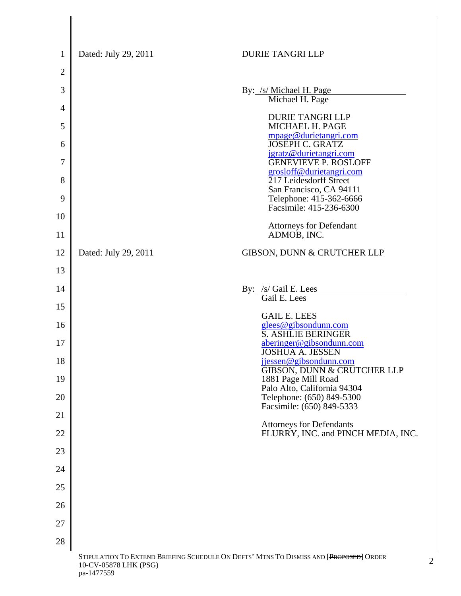| $\mathbf{1}$   | Dated: July 29, 2011                                                                                            | <b>DURIE TANGRI LLP</b>                                 |  |
|----------------|-----------------------------------------------------------------------------------------------------------------|---------------------------------------------------------|--|
| $\overline{2}$ |                                                                                                                 |                                                         |  |
| 3              |                                                                                                                 | By: /s/ Michael H. Page<br>Michael H. Page              |  |
| $\overline{4}$ |                                                                                                                 | <b>DURIE TANGRI LLP</b>                                 |  |
| 5              |                                                                                                                 | MICHAEL H. PAGE<br>mpage@durietangri.com                |  |
| 6              |                                                                                                                 | <b>JOSEPH C. GRATZ</b><br>jgratz@durietangri.com        |  |
| 7              |                                                                                                                 | <b>GENEVIEVE P. ROSLOFF</b><br>grosloff@durietangri.com |  |
| 8              |                                                                                                                 | 217 Leidesdorff Street<br>San Francisco, CA 94111       |  |
| 9              |                                                                                                                 | Telephone: 415-362-6666<br>Facsimile: 415-236-6300      |  |
| 10             |                                                                                                                 | <b>Attorneys for Defendant</b>                          |  |
| 11             |                                                                                                                 | ADMOB, INC.                                             |  |
| 12             | Dated: July 29, 2011                                                                                            | <b>GIBSON, DUNN &amp; CRUTCHER LLP</b>                  |  |
| 13             |                                                                                                                 |                                                         |  |
| 14             |                                                                                                                 | By: /s/ Gail E. Lees<br>Gail E. Lees                    |  |
| 15             |                                                                                                                 | <b>GAIL E. LEES</b>                                     |  |
| 16             |                                                                                                                 | glees@gibsondunn.com<br>S. ASHLIE BERINGER              |  |
| 17             |                                                                                                                 | aberinger@gibsondunn.com<br><b>JOSHUA A. JESSEN</b>     |  |
| 18             |                                                                                                                 | jjessen@gibsondunn.com<br>GIBSON, DUNN & CRUTCHER LLP   |  |
| 19             |                                                                                                                 | 1881 Page Mill Road<br>Palo Alto, California 94304      |  |
| 20             |                                                                                                                 | Telephone: (650) 849-5300<br>Facsimile: (650) 849-5333  |  |
| 21             |                                                                                                                 | <b>Attorneys for Defendants</b>                         |  |
| 22             |                                                                                                                 | FLURRY, INC. and PINCH MEDIA, INC.                      |  |
| 23             |                                                                                                                 |                                                         |  |
| 24             |                                                                                                                 |                                                         |  |
| 25             |                                                                                                                 |                                                         |  |
| 26             |                                                                                                                 |                                                         |  |
| 27             |                                                                                                                 |                                                         |  |
| 28             |                                                                                                                 |                                                         |  |
|                | STIPULATION TO EXTEND BRIEFING SCHEDULE ON DEFTS' MTNS TO DISMISS AND [PROPOSED] ORDER<br>10-CV-05878 LHK (PSG) |                                                         |  |

pa-1477559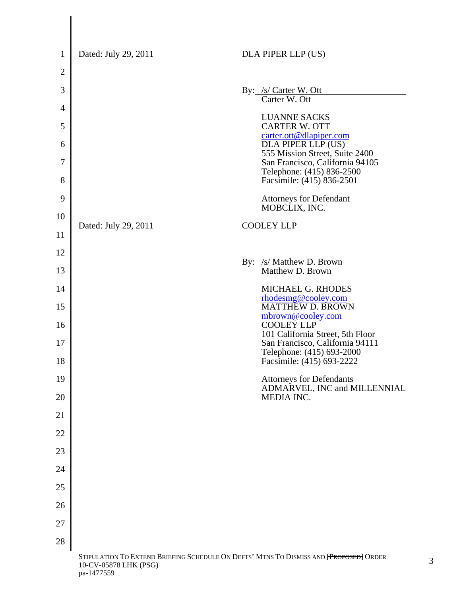| $\mathbf{1}$   | Dated: July 29, 2011                                                                                            | DLA PIPER LLP (US)                                                |  |  |
|----------------|-----------------------------------------------------------------------------------------------------------------|-------------------------------------------------------------------|--|--|
| $\overline{2}$ |                                                                                                                 |                                                                   |  |  |
| 3              |                                                                                                                 | By: /s/ Carter W. Ott<br>Carter W. Ott                            |  |  |
| $\overline{4}$ |                                                                                                                 |                                                                   |  |  |
| 5              |                                                                                                                 | <b>LUANNE SACKS</b><br><b>CARTER W. OTT</b>                       |  |  |
| 6              |                                                                                                                 | carter.ott@dlapiper.com<br>DLA PIPER LLP (US)                     |  |  |
| 7              |                                                                                                                 | 555 Mission Street, Suite 2400<br>San Francisco, California 94105 |  |  |
| 8              |                                                                                                                 | Telephone: (415) 836-2500<br>Facsimile: (415) 836-2501            |  |  |
| 9              |                                                                                                                 | <b>Attorneys for Defendant</b><br>MOBCLIX, INC.                   |  |  |
| 10             | Dated: July 29, 2011                                                                                            | <b>COOLEY LLP</b>                                                 |  |  |
| 11             |                                                                                                                 |                                                                   |  |  |
| 12             |                                                                                                                 | By: /s/ Matthew D. Brown                                          |  |  |
| 13             |                                                                                                                 | Matthew D. Brown                                                  |  |  |
| 14             |                                                                                                                 | MICHAEL G. RHODES<br>rhodesmg@cooley.com                          |  |  |
| 15             |                                                                                                                 | <b>MATTHEW D. BROWN</b><br>mbrown@cooley.com                      |  |  |
| 16             |                                                                                                                 | <b>COOLEY LLP</b><br>101 California Street, 5th Floor             |  |  |
| 17             |                                                                                                                 | San Francisco, California 94111<br>Telephone: (415) 693-2000      |  |  |
| 18             |                                                                                                                 | Facsimile: (415) 693-2222                                         |  |  |
| 19             |                                                                                                                 | <b>Attorneys for Defendants</b><br>ADMARVEL, INC and MILLENNIAL   |  |  |
| 20             |                                                                                                                 | MEDIA INC.                                                        |  |  |
| 21             |                                                                                                                 |                                                                   |  |  |
| 22             |                                                                                                                 |                                                                   |  |  |
| 23             |                                                                                                                 |                                                                   |  |  |
| 24             |                                                                                                                 |                                                                   |  |  |
| 25             |                                                                                                                 |                                                                   |  |  |
| 26             |                                                                                                                 |                                                                   |  |  |
| 27             |                                                                                                                 |                                                                   |  |  |
| 28             |                                                                                                                 |                                                                   |  |  |
|                | STIPULATION TO EXTEND BRIEFING SCHEDULE ON DEFTS' MTNS TO DISMISS AND [PROPOSED] ORDER<br>10-CV-05878 LHK (PSG) |                                                                   |  |  |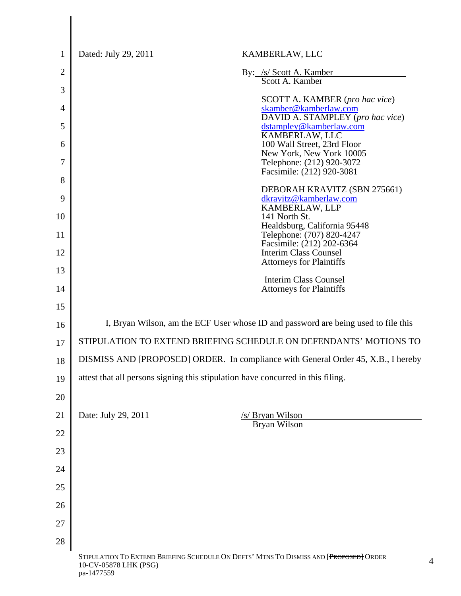| $\mathbf{1}$   | Dated: July 29, 2011                                                                                                          | KAMBERLAW, LLC                                                                  |  |
|----------------|-------------------------------------------------------------------------------------------------------------------------------|---------------------------------------------------------------------------------|--|
| $\overline{2}$ |                                                                                                                               | By: /s/ Scott A. Kamber                                                         |  |
| 3              |                                                                                                                               | Scott A. Kamber                                                                 |  |
| 4              |                                                                                                                               | <b>SCOTT A. KAMBER</b> (pro hac vice)<br>skamber@kamberlaw.com                  |  |
| 5              |                                                                                                                               | DAVID A. STAMPLEY (pro hac vice)<br>dstampley@kamberlaw.com                     |  |
| 6              |                                                                                                                               | KAMBERLAW, LLC<br>100 Wall Street, 23rd Floor                                   |  |
| 7              |                                                                                                                               | New York, New York 10005<br>Telephone: (212) 920-3072                           |  |
| 8              |                                                                                                                               | Facsimile: (212) 920-3081                                                       |  |
| 9              |                                                                                                                               | DEBORAH KRAVITZ (SBN 275661)<br>dkravitz@kamberlaw.com                          |  |
| 10             |                                                                                                                               | KAMBERLAW, LLP<br>141 North St.                                                 |  |
| 11             |                                                                                                                               | Healdsburg, California 95448<br>Telephone: (707) 820-4247                       |  |
| 12             |                                                                                                                               | Facsimile: (212) 202-6364<br><b>Interim Class Counsel</b>                       |  |
| 13             |                                                                                                                               | <b>Attorneys for Plaintiffs</b>                                                 |  |
| 14             |                                                                                                                               | <b>Interim Class Counsel</b><br><b>Attorneys for Plaintiffs</b>                 |  |
| 15             |                                                                                                                               |                                                                                 |  |
| 16             | I, Bryan Wilson, am the ECF User whose ID and password are being used to file this                                            |                                                                                 |  |
| 17             | STIPULATION TO EXTEND BRIEFING SCHEDULE ON DEFENDANTS' MOTIONS TO                                                             |                                                                                 |  |
| 18             | DISMISS AND [PROPOSED] ORDER. In compliance with General Order 45, X.B., I hereby                                             |                                                                                 |  |
| 19             |                                                                                                                               | attest that all persons signing this stipulation have concurred in this filing. |  |
| 20             |                                                                                                                               |                                                                                 |  |
| 21             | Date: July 29, 2011<br>/s/ Bryan Wilson                                                                                       |                                                                                 |  |
| 22             | Bryan Wilson                                                                                                                  |                                                                                 |  |
| 23             |                                                                                                                               |                                                                                 |  |
| 24             |                                                                                                                               |                                                                                 |  |
| 25             |                                                                                                                               |                                                                                 |  |
| 26             |                                                                                                                               |                                                                                 |  |
| 27             |                                                                                                                               |                                                                                 |  |
| 28             |                                                                                                                               |                                                                                 |  |
|                | STIPULATION TO EXTEND BRIEFING SCHEDULE ON DEFTS' MTNS TO DISMISS AND [PROPOSED] ORDER<br>10-CV-05878 LHK (PSG)<br>pa-1477559 |                                                                                 |  |